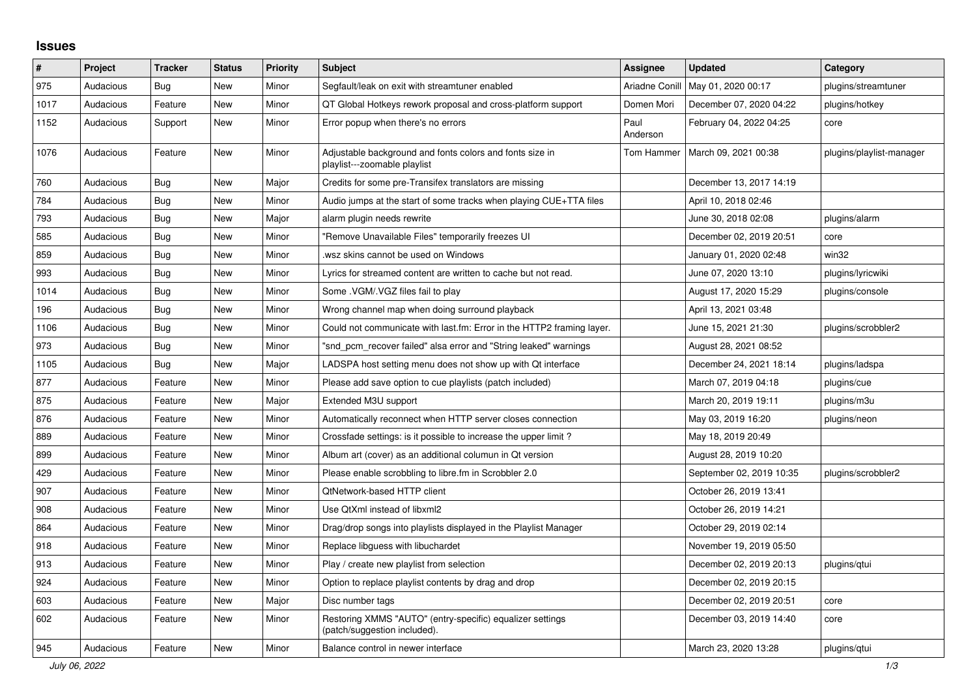## **Issues**

| $\#$ | Project   | <b>Tracker</b> | <b>Status</b> | <b>Priority</b> | <b>Subject</b>                                                                            | <b>Assignee</b>  | <b>Updated</b>           | Category                 |
|------|-----------|----------------|---------------|-----------------|-------------------------------------------------------------------------------------------|------------------|--------------------------|--------------------------|
| 975  | Audacious | <b>Bug</b>     | New           | Minor           | Segfault/leak on exit with streamtuner enabled                                            | Ariadne Conill   | May 01, 2020 00:17       | plugins/streamtuner      |
| 1017 | Audacious | Feature        | New           | Minor           | QT Global Hotkeys rework proposal and cross-platform support                              | Domen Mori       | December 07, 2020 04:22  | plugins/hotkey           |
| 1152 | Audacious | Support        | <b>New</b>    | Minor           | Error popup when there's no errors                                                        | Paul<br>Anderson | February 04, 2022 04:25  | core                     |
| 1076 | Audacious | Feature        | New           | Minor           | Adjustable background and fonts colors and fonts size in<br>playlist---zoomable playlist  | Tom Hammer       | March 09, 2021 00:38     | plugins/playlist-manager |
| 760  | Audacious | <b>Bug</b>     | New           | Major           | Credits for some pre-Transifex translators are missing                                    |                  | December 13, 2017 14:19  |                          |
| 784  | Audacious | Bug            | New           | Minor           | Audio jumps at the start of some tracks when playing CUE+TTA files                        |                  | April 10, 2018 02:46     |                          |
| 793  | Audacious | Bug            | <b>New</b>    | Major           | alarm plugin needs rewrite                                                                |                  | June 30, 2018 02:08      | plugins/alarm            |
| 585  | Audacious | Bug            | New           | Minor           | "Remove Unavailable Files" temporarily freezes UI                                         |                  | December 02, 2019 20:51  | core                     |
| 859  | Audacious | Bug            | <b>New</b>    | Minor           | wsz skins cannot be used on Windows.                                                      |                  | January 01, 2020 02:48   | win32                    |
| 993  | Audacious | Bug            | New           | Minor           | Lyrics for streamed content are written to cache but not read.                            |                  | June 07, 2020 13:10      | plugins/lyricwiki        |
| 1014 | Audacious | <b>Bug</b>     | <b>New</b>    | Minor           | Some . VGM/. VGZ files fail to play                                                       |                  | August 17, 2020 15:29    | plugins/console          |
| 196  | Audacious | <b>Bug</b>     | New           | Minor           | Wrong channel map when doing surround playback                                            |                  | April 13, 2021 03:48     |                          |
| 1106 | Audacious | Bug            | New           | Minor           | Could not communicate with last.fm: Error in the HTTP2 framing layer.                     |                  | June 15, 2021 21:30      | plugins/scrobbler2       |
| 973  | Audacious | Bug            | <b>New</b>    | Minor           | "snd pcm recover failed" alsa error and "String leaked" warnings                          |                  | August 28, 2021 08:52    |                          |
| 1105 | Audacious | <b>Bug</b>     | New           | Major           | LADSPA host setting menu does not show up with Qt interface                               |                  | December 24, 2021 18:14  | plugins/ladspa           |
| 877  | Audacious | Feature        | New           | Minor           | Please add save option to cue playlists (patch included)                                  |                  | March 07, 2019 04:18     | plugins/cue              |
| 875  | Audacious | Feature        | New           | Major           | Extended M3U support                                                                      |                  | March 20, 2019 19:11     | plugins/m3u              |
| 876  | Audacious | Feature        | <b>New</b>    | Minor           | Automatically reconnect when HTTP server closes connection                                |                  | May 03, 2019 16:20       | plugins/neon             |
| 889  | Audacious | Feature        | New           | Minor           | Crossfade settings: is it possible to increase the upper limit?                           |                  | May 18, 2019 20:49       |                          |
| 899  | Audacious | Feature        | New           | Minor           | Album art (cover) as an additional columun in Qt version                                  |                  | August 28, 2019 10:20    |                          |
| 429  | Audacious | Feature        | <b>New</b>    | Minor           | Please enable scrobbling to libre.fm in Scrobbler 2.0                                     |                  | September 02, 2019 10:35 | plugins/scrobbler2       |
| 907  | Audacious | Feature        | New           | Minor           | QtNetwork-based HTTP client                                                               |                  | October 26, 2019 13:41   |                          |
| 908  | Audacious | Feature        | New           | Minor           | Use QtXml instead of libxml2                                                              |                  | October 26, 2019 14:21   |                          |
| 864  | Audacious | Feature        | <b>New</b>    | Minor           | Drag/drop songs into playlists displayed in the Playlist Manager                          |                  | October 29, 2019 02:14   |                          |
| 918  | Audacious | Feature        | <b>New</b>    | Minor           | Replace libguess with libuchardet                                                         |                  | November 19, 2019 05:50  |                          |
| 913  | Audacious | Feature        | <b>New</b>    | Minor           | Play / create new playlist from selection                                                 |                  | December 02, 2019 20:13  | plugins/qtui             |
| 924  | Audacious | Feature        | New           | Minor           | Option to replace playlist contents by drag and drop                                      |                  | December 02, 2019 20:15  |                          |
| 603  | Audacious | Feature        | <b>New</b>    | Major           | Disc number tags                                                                          |                  | December 02, 2019 20:51  | core                     |
| 602  | Audacious | Feature        | New           | Minor           | Restoring XMMS "AUTO" (entry-specific) equalizer settings<br>(patch/suggestion included). |                  | December 03, 2019 14:40  | core                     |
| 945  | Audacious | Feature        | New           | Minor           | Balance control in newer interface                                                        |                  | March 23, 2020 13:28     | plugins/qtui             |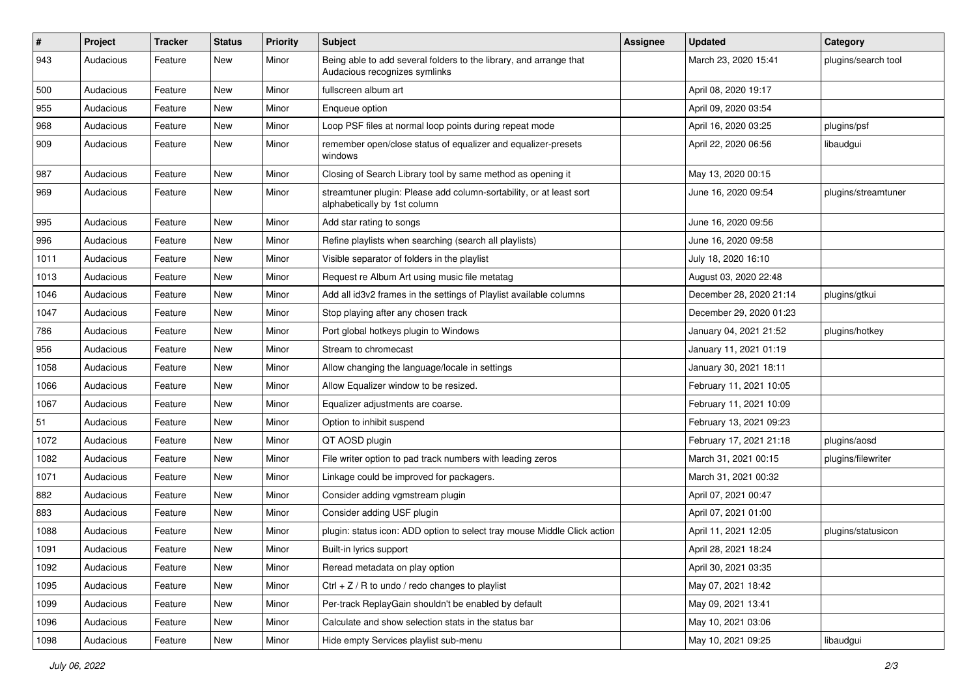| #    | Project   | <b>Tracker</b> | <b>Status</b> | <b>Priority</b> | <b>Subject</b>                                                                                      | <b>Assignee</b> | <b>Updated</b>          | Category            |
|------|-----------|----------------|---------------|-----------------|-----------------------------------------------------------------------------------------------------|-----------------|-------------------------|---------------------|
| 943  | Audacious | Feature        | New           | Minor           | Being able to add several folders to the library, and arrange that<br>Audacious recognizes symlinks |                 | March 23, 2020 15:41    | plugins/search tool |
| 500  | Audacious | Feature        | New           | Minor           | fullscreen album art                                                                                |                 | April 08, 2020 19:17    |                     |
| 955  | Audacious | Feature        | New           | Minor           | Enqueue option                                                                                      |                 | April 09, 2020 03:54    |                     |
| 968  | Audacious | Feature        | New           | Minor           | Loop PSF files at normal loop points during repeat mode                                             |                 | April 16, 2020 03:25    | plugins/psf         |
| 909  | Audacious | Feature        | New           | Minor           | remember open/close status of equalizer and equalizer-presets<br>windows                            |                 | April 22, 2020 06:56    | libaudgui           |
| 987  | Audacious | Feature        | New           | Minor           | Closing of Search Library tool by same method as opening it                                         |                 | May 13, 2020 00:15      |                     |
| 969  | Audacious | Feature        | New           | Minor           | streamtuner plugin: Please add column-sortability, or at least sort<br>alphabetically by 1st column |                 | June 16, 2020 09:54     | plugins/streamtuner |
| 995  | Audacious | Feature        | New           | Minor           | Add star rating to songs                                                                            |                 | June 16, 2020 09:56     |                     |
| 996  | Audacious | Feature        | New           | Minor           | Refine playlists when searching (search all playlists)                                              |                 | June 16, 2020 09:58     |                     |
| 1011 | Audacious | Feature        | New           | Minor           | Visible separator of folders in the playlist                                                        |                 | July 18, 2020 16:10     |                     |
| 1013 | Audacious | Feature        | New           | Minor           | Request re Album Art using music file metatag                                                       |                 | August 03, 2020 22:48   |                     |
| 1046 | Audacious | Feature        | New           | Minor           | Add all id3v2 frames in the settings of Playlist available columns                                  |                 | December 28, 2020 21:14 | plugins/gtkui       |
| 1047 | Audacious | Feature        | New           | Minor           | Stop playing after any chosen track                                                                 |                 | December 29, 2020 01:23 |                     |
| 786  | Audacious | Feature        | New           | Minor           | Port global hotkeys plugin to Windows                                                               |                 | January 04, 2021 21:52  | plugins/hotkey      |
| 956  | Audacious | Feature        | New           | Minor           | Stream to chromecast                                                                                |                 | January 11, 2021 01:19  |                     |
| 1058 | Audacious | Feature        | New           | Minor           | Allow changing the language/locale in settings                                                      |                 | January 30, 2021 18:11  |                     |
| 1066 | Audacious | Feature        | New           | Minor           | Allow Equalizer window to be resized.                                                               |                 | February 11, 2021 10:05 |                     |
| 1067 | Audacious | Feature        | New           | Minor           | Equalizer adjustments are coarse.                                                                   |                 | February 11, 2021 10:09 |                     |
| 51   | Audacious | Feature        | New           | Minor           | Option to inhibit suspend                                                                           |                 | February 13, 2021 09:23 |                     |
| 1072 | Audacious | Feature        | New           | Minor           | QT AOSD plugin                                                                                      |                 | February 17, 2021 21:18 | plugins/aosd        |
| 1082 | Audacious | Feature        | New           | Minor           | File writer option to pad track numbers with leading zeros                                          |                 | March 31, 2021 00:15    | plugins/filewriter  |
| 1071 | Audacious | Feature        | New           | Minor           | Linkage could be improved for packagers.                                                            |                 | March 31, 2021 00:32    |                     |
| 882  | Audacious | Feature        | New           | Minor           | Consider adding vgmstream plugin                                                                    |                 | April 07, 2021 00:47    |                     |
| 883  | Audacious | Feature        | New           | Minor           | Consider adding USF plugin                                                                          |                 | April 07, 2021 01:00    |                     |
| 1088 | Audacious | Feature        | New           | Minor           | plugin: status icon: ADD option to select tray mouse Middle Click action                            |                 | April 11, 2021 12:05    | plugins/statusicon  |
| 1091 | Audacious | Feature        | New           | Minor           | Built-in lyrics support                                                                             |                 | April 28, 2021 18:24    |                     |
| 1092 | Audacious | Feature        | New           | Minor           | Reread metadata on play option                                                                      |                 | April 30, 2021 03:35    |                     |
| 1095 | Audacious | Feature        | New           | Minor           | $Ctrl + Z / R$ to undo / redo changes to playlist                                                   |                 | May 07, 2021 18:42      |                     |
| 1099 | Audacious | Feature        | New           | Minor           | Per-track ReplayGain shouldn't be enabled by default                                                |                 | May 09, 2021 13:41      |                     |
| 1096 | Audacious | Feature        | New           | Minor           | Calculate and show selection stats in the status bar                                                |                 | May 10, 2021 03:06      |                     |
| 1098 | Audacious | Feature        | New           | Minor           | Hide empty Services playlist sub-menu                                                               |                 | May 10, 2021 09:25      | libaudgui           |